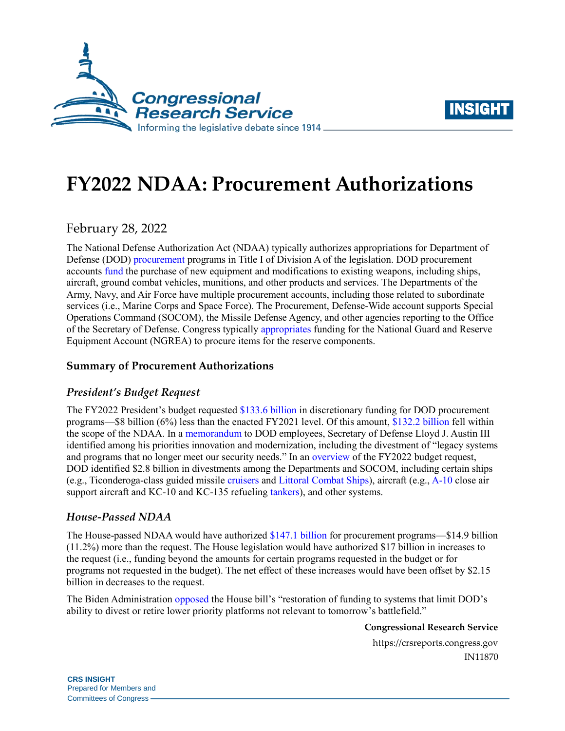



# **FY2022 NDAA: Procurement Authorizations**

February 28, 2022

The National Defense Authorization Act (NDAA) typically authorizes appropriations for Department of Defense (DOD) [procurement](https://crsreports.congress.gov/product/pdf/IF/IF10599) programs in Title I of Division A of the legislation. DOD procurement accounts [fund](https://crsreports.congress.gov/product/pdf/R/R46965) the purchase of new equipment and modifications to existing weapons, including ships, aircraft, ground combat vehicles, munitions, and other products and services. The Departments of the Army, Navy, and Air Force have multiple procurement accounts, including those related to subordinate services (i.e., Marine Corps and Space Force). The Procurement, Defense-Wide account supports Special Operations Command (SOCOM), the Missile Defense Agency, and other agencies reporting to the Office of the Secretary of Defense. Congress typically [appropriates](https://www.congress.gov/116/plaws/publ260/PLAW-116publ260.pdf#page=165) funding for the National Guard and Reserve Equipment Account (NGREA) to procure items for the reserve components.

### **Summary of Procurement Authorizations**

#### *President's Budget Request*

The FY2022 President's budget requested [\\$133.6 billion](https://comptroller.defense.gov/Portals/45/Documents/defbudget/FY2022/FY2022_Budget_Request_Overview_Book.pdf#page=136) in discretionary funding for DOD procurement programs—\$8 billion (6%) less than the enacted FY2021 level. Of this amount, [\\$132.2 billion](https://www.congress.gov/117/crec/2021/12/07/167/211/CREC-2021-12-07-house-bk2.pdf#page=98) fell within the scope of the NDAA. In a [memorandum](https://media.defense.gov/2021/Mar/04/2002593656/-1/-1/0/SECRETARY-LLOYD-J-AUSTIN-III-MESSAGE-TO-THE-FORCE.PDF) to DOD employees, Secretary of Defense Lloyd J. Austin III identified among his priorities innovation and modernization, including the divestment of "legacy systems and programs that no longer meet our security needs." In an [overview](https://comptroller.defense.gov/Portals/45/Documents/defbudget/FY2022/FY2022_Budget_Request_Overview_Book.pdf#page=35) of the FY2022 budget request, DOD identified \$2.8 billion in divestments among the Departments and SOCOM, including certain ships (e.g., Ticonderoga-class guided missile [cruisers](https://crsreports.congress.gov/product/pdf/RS/RS22595) and [Littoral Combat Ships\)](https://crsreports.congress.gov/product/pdf/RL/RL33741), aircraft (e.g., [A-10](https://crsreports.congress.gov/product/pdf/R/R43843) close air support aircraft and KC-10 and KC-135 refueling [tankers\)](https://crsreports.congress.gov/product/pdf/RL/RL34398), and other systems.

#### *House-Passed NDAA*

The House-passed NDAA would have authorized [\\$147.1 billion](https://www.congress.gov/117/crpt/hrpt118/CRPT-117hrpt118.pdf#page=382) for procurement programs—\$14.9 billion (11.2%) more than the request. The House legislation would have authorized \$17 billion in increases to the request (i.e., funding beyond the amounts for certain programs requested in the budget or for programs not requested in the budget). The net effect of these increases would have been offset by \$2.15 billion in decreases to the request.

The Biden Administration [opposed](https://www.whitehouse.gov/wp-content/uploads/2021/09/SAP-HR-4350.pdf) the House bill's "restoration of funding to systems that limit DOD's ability to divest or retire lower priority platforms not relevant to tomorrow's battlefield."

#### **Congressional Research Service**

https://crsreports.congress.gov IN11870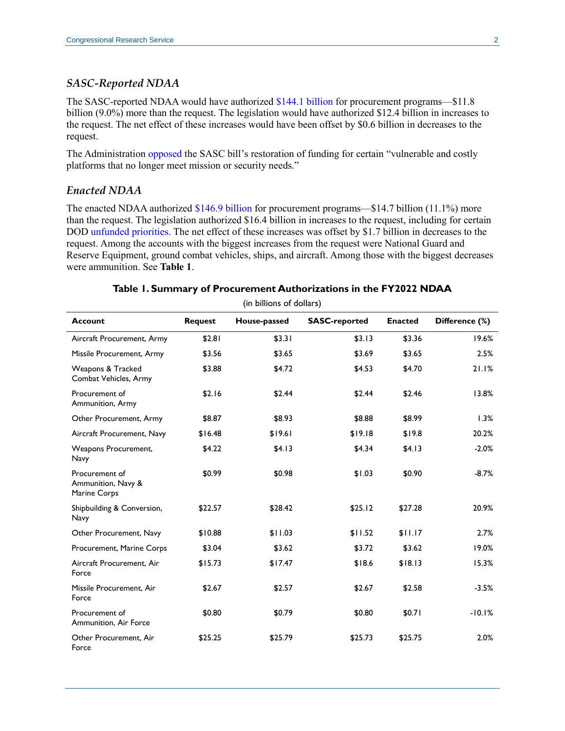#### *SASC-Reported NDAA*

The SASC-reported NDAA would have authorized [\\$144.1 billion](https://www.congress.gov/117/crpt/srpt39/CRPT-117srpt39.pdf#page=410) for procurement programs—\$11.8 billion (9.0%) more than the request. The legislation would have authorized \$12.4 billion in increases to the request. The net effect of these increases would have been offset by \$0.6 billion in decreases to the request.

The Administration [opposed](https://www.whitehouse.gov/wp-content/uploads/2021/11/S-2797-SAP.pdf#page=1) the SASC bill's restoration of funding for certain "vulnerable and costly platforms that no longer meet mission or security needs."

#### *Enacted NDAA*

The enacted NDAA authorized [\\$146.9 billion](https://www.congress.gov/117/crec/2021/12/07/167/211/CREC-2021-12-07-house-bk2.pdf#page=98) for procurement programs—\$14.7 billion (11.1%) more than the request. The legislation authorized \$16.4 billion in increases to the request, including for certain DOD [unfunded priorities.](https://crsreports.congress.gov/product/pdf/IF/IF11964) The net effect of these increases was offset by \$1.7 billion in decreases to the request. Among the accounts with the biggest increases from the request were National Guard and Reserve Equipment, ground combat vehicles, ships, and aircraft. Among those with the biggest decreases were ammunition. See **[Table 1](#page-1-0)**.

<span id="page-1-0"></span>

| (in billions of dollars)                             |                |              |                      |                |                |  |  |  |
|------------------------------------------------------|----------------|--------------|----------------------|----------------|----------------|--|--|--|
| <b>Account</b>                                       | <b>Request</b> | House-passed | <b>SASC-reported</b> | <b>Enacted</b> | Difference (%) |  |  |  |
| Aircraft Procurement, Army                           | \$2.81         | \$3.31       | \$3.13               | \$3.36         | 19.6%          |  |  |  |
| Missile Procurement, Army                            | \$3.56         | \$3.65       | \$3.69               | \$3.65         | 2.5%           |  |  |  |
| Weapons & Tracked<br>Combat Vehicles, Army           | \$3.88         | \$4.72       | \$4.53               | \$4.70         | 21.1%          |  |  |  |
| Procurement of<br>Ammunition, Army                   | \$2.16         | \$2.44       | \$2.44               | \$2.46         | 13.8%          |  |  |  |
| Other Procurement, Army                              | \$8.87         | \$8.93       | \$8.88               | \$8.99         | 1.3%           |  |  |  |
| Aircraft Procurement, Navy                           | \$16.48        | \$19.61      | \$19.18              | \$19.8         | 20.2%          |  |  |  |
| Weapons Procurement,<br>Navy                         | \$4.22         | \$4.13       | \$4.34               | \$4.13         | $-2.0%$        |  |  |  |
| Procurement of<br>Ammunition, Navy &<br>Marine Corps | \$0.99         | \$0.98       | \$1.03               | \$0.90         | $-8.7%$        |  |  |  |
| Shipbuilding & Conversion,<br>Navy                   | \$22.57        | \$28.42      | \$25.12              | \$27.28        | 20.9%          |  |  |  |
| Other Procurement, Navy                              | \$10.88        | \$11.03      | \$11.52              | \$11.17        | 2.7%           |  |  |  |
| Procurement, Marine Corps                            | \$3.04         | \$3.62       | \$3.72               | \$3.62         | 19.0%          |  |  |  |
| Aircraft Procurement, Air<br>Force                   | \$15.73        | \$17.47      | \$18.6               | \$18.13        | 15.3%          |  |  |  |
| Missile Procurement, Air<br>Force                    | \$2.67         | \$2.57       | \$2.67               | \$2.58         | $-3.5%$        |  |  |  |
| Procurement of<br>Ammunition, Air Force              | \$0.80         | \$0.79       | \$0.80               | \$0.71         | $-10.1%$       |  |  |  |
| Other Procurement. Air<br>Force                      | \$25.25        | \$25.79      | \$25.73              | \$25.75        | 2.0%           |  |  |  |

#### **Table 1. Summary of Procurement Authorizations in the FY2022 NDAA**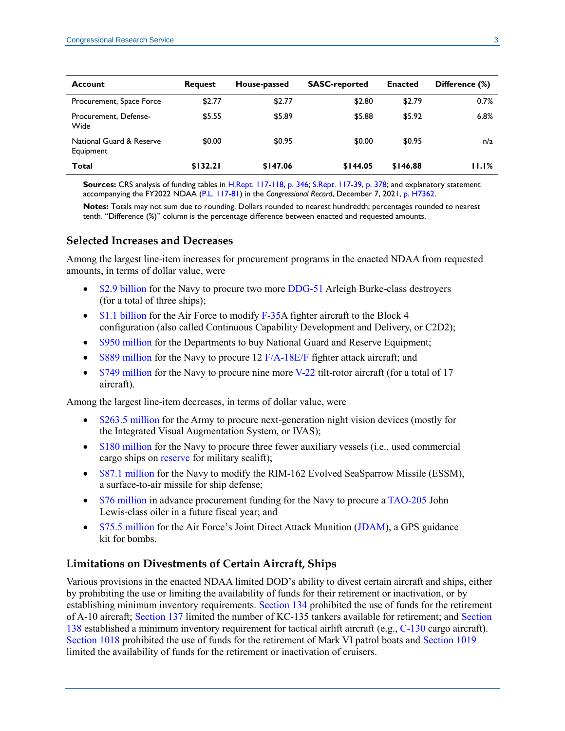| <b>Account</b>                        | <b>Request</b> | House-passed | <b>SASC-reported</b> | <b>Enacted</b> | Difference (%) |
|---------------------------------------|----------------|--------------|----------------------|----------------|----------------|
| Procurement, Space Force              | \$2.77         | \$2.77       | \$2.80               | \$2.79         | 0.7%           |
| Procurement, Defense-<br>Wide         | \$5.55         | \$5.89       | \$5.88               | \$5.92         | 6.8%           |
| National Guard & Reserve<br>Equipment | \$0.00         | \$0.95       | \$0.00               | \$0.95         | n/a            |
| Total                                 | \$132.21       | \$147.06     | \$144.05             | \$146.88       | 11.1%          |

**Sources:** CRS analysis of funding tables in [H.Rept. 117-118,](http://www.congress.gov/cgi-lis/cpquery/R?cp117:FLD010:@1(hr118):) [p. 346;](https://www.congress.gov/117/crpt/hrpt118/CRPT-117hrpt118.pdf#page=382) [S.Rept. 117-39,](http://www.congress.gov/cgi-lis/cpquery/R?cp117:FLD010:@1(sr39):) [p. 378;](https://www.congress.gov/117/crpt/srpt39/CRPT-117srpt39.pdf#page=410) and explanatory statement accompanying the FY2022 NDAA [\(P.L. 117-81\)](http://www.congress.gov/cgi-lis/bdquery/R?d117:FLD002:@1(117+81)) in the *Congressional Record*, December 7, 2021, [p. H7362.](https://www.congress.gov/117/crec/2021/12/07/167/211/CREC-2021-12-07-house-bk2.pdf#page=98)

**Notes:** Totals may not sum due to rounding. Dollars rounded to nearest hundredth; percentages rounded to nearest tenth. "Difference (%)" column is the percentage difference between enacted and requested amounts.

#### **Selected Increases and Decreases**

Among the largest line-item increases for procurement programs in the enacted NDAA from requested amounts, in terms of dollar value, were

- [\\$2.9 billion](https://www.congress.gov/117/crec/2021/12/07/167/211/CREC-2021-12-07-house-bk2.pdf#page=111) for the Navy to procure two more [DDG-51](https://crsreports.congress.gov/product/pdf/RL/RL32109) Arleigh Burke-class destroyers (for a total of three ships);
- $\bullet$  [\\$1.1 billion](https://www.congress.gov/117/crec/2021/12/07/167/211/CREC-2021-12-07-house-bk2.pdf#page=117) for the Air Force to modify [F-35A](https://crsreports.congress.gov/product/pdf/RL/RL30563) fighter aircraft to the Block 4 configuration (also called Continuous Capability Development and Delivery, or C2D2);
- [\\$950 million](https://www.congress.gov/117/crec/2021/12/07/167/211/CREC-2021-12-07-house-bk2.pdf#page=122) for the Departments to buy National Guard and Reserve Equipment;
- $\bullet$  [\\$889 million](https://www.congress.gov/117/crec/2021/12/07/167/211/CREC-2021-12-07-house-bk2.pdf#page=107) for the Navy to procure 12 [F/A-18E/F](https://crsreports.congress.gov/product/pdf/RL/RL30624) fighter attack aircraft; and
- $\bullet$  [\\$749 million](https://www.congress.gov/117/crec/2021/12/07/167/211/CREC-2021-12-07-house-bk2.pdf#page=108) for the Navy to procure nine more [V-22](https://crsreports.congress.gov/product/pdf/RL/RL31384) tilt-rotor aircraft (for a total of 17 aircraft).

Among the largest line-item decreases, in terms of dollar value, were

- [\\$263.5 million](https://www.congress.gov/117/crec/2021/12/07/167/211/CREC-2021-12-07-house-bk2.pdf#page=106) for the Army to procure next-generation night vision devices (mostly for the Integrated Visual Augmentation System, or IVAS);
- [\\$180 million](https://www.congress.gov/117/crec/2021/12/07/167/211/CREC-2021-12-07-house-bk2.pdf#page=111) for the Navy to procure three fewer auxiliary vessels (i.e., used commercial cargo ships on [reserve](https://crsreports.congress.gov/product/pdf/R/R45725) for military sealift);
- [\\$87.1 million](https://www.congress.gov/117/crec/2021/12/07/167/211/CREC-2021-12-07-house-bk2.pdf#page=110) for the Navy to modify the RIM-162 Evolved SeaSparrow Missile (ESSM), a surface-to-air missile for ship defense;
- [\\$76 million](https://www.congress.gov/117/crec/2021/12/07/167/211/CREC-2021-12-07-house-bk2.pdf#page=111) in advance procurement funding for the Navy to procure [a TAO-205](https://crsreports.congress.gov/product/pdf/R/R43546) John Lewis-class oiler in a future fiscal year; and
- [\\$75.5 million](https://www.congress.gov/117/crec/2021/12/07/167/211/CREC-2021-12-07-house-bk2.pdf#page=119) for the Air Force's Joint Direct Attack Munition [\(JDAM\)](https://crsreports.congress.gov/product/pdf/R/R45996), a GPS guidance kit for bombs.

#### **Limitations on Divestments of Certain Aircraft, Ships**

Various provisions in the enacted NDAA limited DOD's ability to divest certain aircraft and ships, either by prohibiting the use or limiting the availability of funds for their retirement or inactivation, or by establishing minimum inventory requirements. [Section 134](https://www.congress.gov/117/plaws/publ81/PLAW-117publ81.pdf#page=34) prohibited the use of funds for the retirement of A-10 aircraft; [Section 137](https://www.congress.gov/117/plaws/publ81/PLAW-117publ81.pdf#page=36) limited the number of KC-135 tankers available for retirement; and [Section](https://www.congress.gov/117/plaws/publ81/PLAW-117publ81.pdf#page=37)  [138](https://www.congress.gov/117/plaws/publ81/PLAW-117publ81.pdf#page=37) established a minimum inventory requirement for tactical airlift aircraft (e.g., [C-130](https://crsreports.congress.gov/product/pdf/R/R43618) cargo aircraft). [Section 1018](https://www.congress.gov/117/plaws/publ81/PLAW-117publ81.pdf#page=357) prohibited the use of funds for the retirement of Mark VI patrol boats and [Section 1019](https://www.congress.gov/117/plaws/publ81/PLAW-117publ81.pdf#page=358) limited the availability of funds for the retirement or inactivation of cruisers.